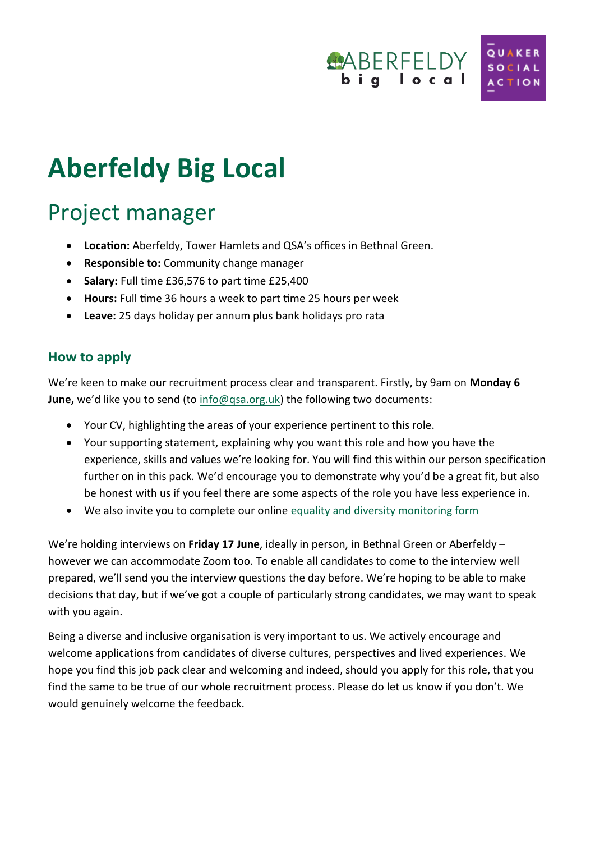

# **Aberfeldy Big Local**

## Project manager

- **Location:** Aberfeldy, Tower Hamlets and QSA's offices in Bethnal Green.
- **Responsible to:** Community change manager
- **Salary:** Full time £36,576 to part time £25,400
- **Hours:** Full time 36 hours a week to part time 25 hours per week
- **Leave:** 25 days holiday per annum plus bank holidays pro rata

#### **How to apply**

We're keen to make our recruitment process clear and transparent. Firstly, by 9am on **Monday 6 June,** we'd like you to send (to [info@qsa.org.uk\)](mailto:info@qsa.org.uk) the following two documents:

- Your CV, highlighting the areas of your experience pertinent to this role.
- Your supporting statement, explaining why you want this role and how you have the experience, skills and values we're looking for. You will find this within our person specification further on in this pack. We'd encourage you to demonstrate why you'd be a great fit, but also be honest with us if you feel there are some aspects of the role you have less experience in.
- We also invite you to complete our online [equality and diversity monitoring form](https://www.surveymonkey.co.uk/r/2GT67V3)

We're holding interviews on **Friday 17 June**, ideally in person, in Bethnal Green or Aberfeldy – however we can accommodate Zoom too. To enable all candidates to come to the interview well prepared, we'll send you the interview questions the day before. We're hoping to be able to make decisions that day, but if we've got a couple of particularly strong candidates, we may want to speak with you again.

Being a diverse and inclusive organisation is very important to us. We actively encourage and welcome applications from candidates of diverse cultures, perspectives and lived experiences. We hope you find this job pack clear and welcoming and indeed, should you apply for this role, that you find the same to be true of our whole recruitment process. Please do let us know if you don't. We would genuinely welcome the feedback.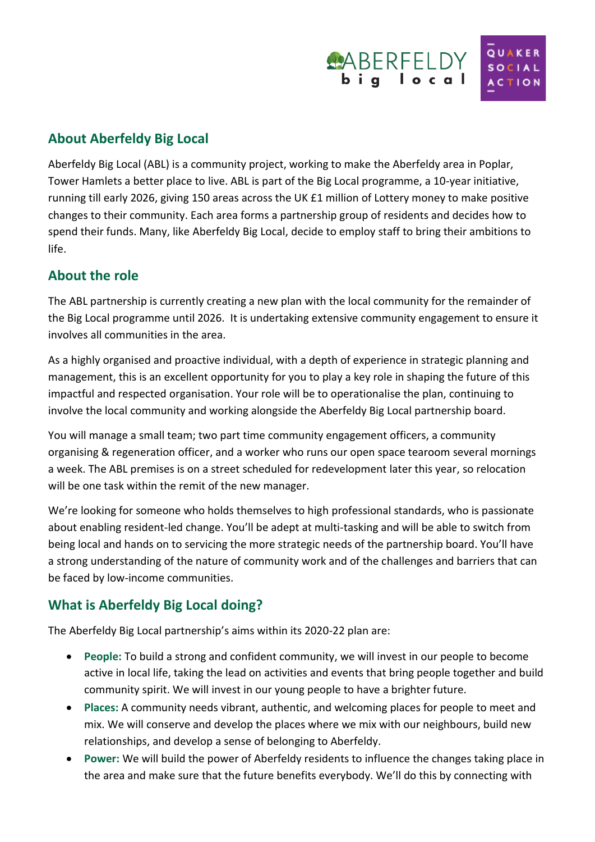

#### **About Aberfeldy Big Local**

Aberfeldy Big Local (ABL) is a community project, working to make the Aberfeldy area in Poplar, Tower Hamlets a better place to live. ABL is part of the Big Local programme, a 10-year initiative, running till early 2026, giving 150 areas across the UK £1 million of Lottery money to make positive changes to their community. Each area forms a partnership group of residents and decides how to spend their funds. Many, like Aberfeldy Big Local, decide to employ staff to bring their ambitions to life.

#### **About the role**

The ABL partnership is currently creating a new plan with the local community for the remainder of the Big Local programme until 2026. It is undertaking extensive community engagement to ensure it involves all communities in the area.

As a highly organised and proactive individual, with a depth of experience in strategic planning and management, this is an excellent opportunity for you to play a key role in shaping the future of this impactful and respected organisation. Your role will be to operationalise the plan, continuing to involve the local community and working alongside the Aberfeldy Big Local partnership board.

You will manage a small team; two part time community engagement officers, a community organising & regeneration officer, and a worker who runs our open space tearoom several mornings a week. The ABL premises is on a street scheduled for redevelopment later this year, so relocation will be one task within the remit of the new manager.

We're looking for someone who holds themselves to high professional standards, who is passionate about enabling resident-led change. You'll be adept at multi-tasking and will be able to switch from being local and hands on to servicing the more strategic needs of the partnership board. You'll have a strong understanding of the nature of community work and of the challenges and barriers that can be faced by low-income communities.

#### **What is Aberfeldy Big Local doing?**

The Aberfeldy Big Local partnership's aims within its 2020-22 plan are:

- **People:** To build a strong and confident community, we will invest in our people to become active in local life, taking the lead on activities and events that bring people together and build community spirit. We will invest in our young people to have a brighter future.
- **Places:** A community needs vibrant, authentic, and welcoming places for people to meet and mix. We will conserve and develop the places where we mix with our neighbours, build new relationships, and develop a sense of belonging to Aberfeldy.
- **Power:** We will build the power of Aberfeldy residents to influence the changes taking place in the area and make sure that the future benefits everybody. We'll do this by connecting with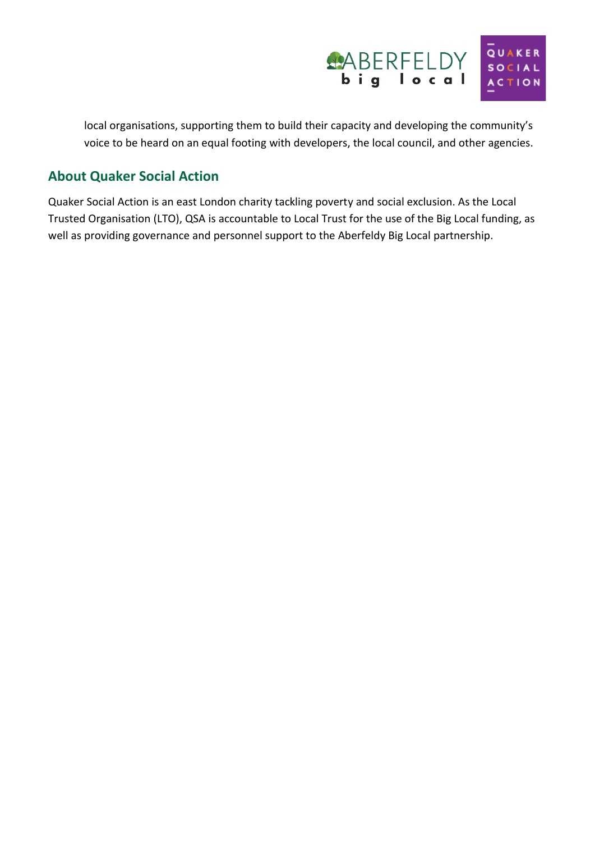

local organisations, supporting them to build their capacity and developing the community's voice to be heard on an equal footing with developers, the local council, and other agencies.

#### **About Quaker Social Action**

Quaker Social Action is an east London charity tackling poverty and social exclusion. As the Local Trusted Organisation (LTO), QSA is accountable to Local Trust for the use of the Big Local funding, as well as providing governance and personnel support to the Aberfeldy Big Local partnership.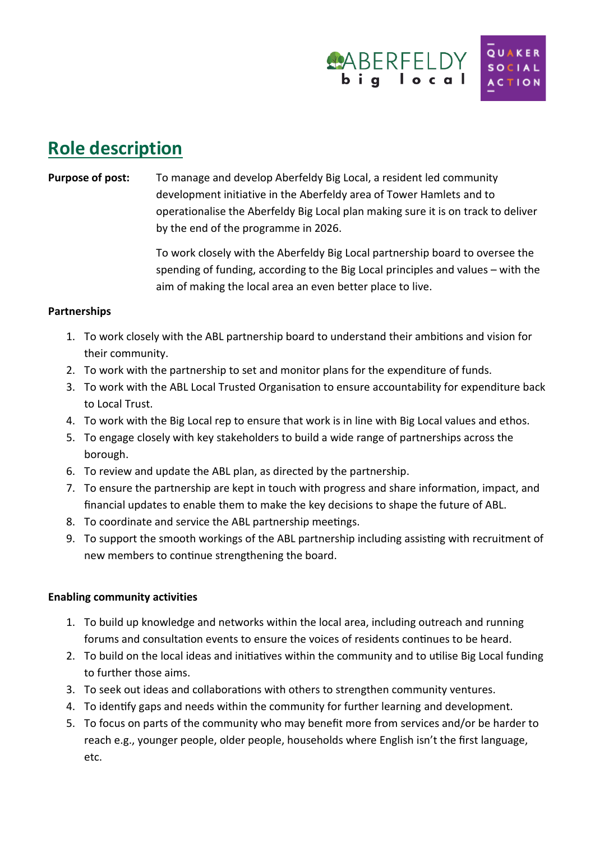

## **Role description**

#### **Purpose of post:** To manage and develop Aberfeldy Big Local, a resident led community development initiative in the Aberfeldy area of Tower Hamlets and to operationalise the Aberfeldy Big Local plan making sure it is on track to deliver by the end of the programme in 2026.

To work closely with the Aberfeldy Big Local partnership board to oversee the spending of funding, according to the Big Local principles and values – with the aim of making the local area an even better place to live.

#### **Partnerships**

- 1. To work closely with the ABL partnership board to understand their ambitions and vision for their community.
- 2. To work with the partnership to set and monitor plans for the expenditure of funds.
- 3. To work with the ABL Local Trusted Organisation to ensure accountability for expenditure back to Local Trust.
- 4. To work with the Big Local rep to ensure that work is in line with Big Local values and ethos.
- 5. To engage closely with key stakeholders to build a wide range of partnerships across the borough.
- 6. To review and update the ABL plan, as directed by the partnership.
- 7. To ensure the partnership are kept in touch with progress and share information, impact, and financial updates to enable them to make the key decisions to shape the future of ABL.
- 8. To coordinate and service the ABL partnership meetings.
- 9. To support the smooth workings of the ABL partnership including assisting with recruitment of new members to continue strengthening the board.

#### **Enabling community activities**

- 1. To build up knowledge and networks within the local area, including outreach and running forums and consultation events to ensure the voices of residents continues to be heard.
- 2. To build on the local ideas and initiatives within the community and to utilise Big Local funding to further those aims.
- 3. To seek out ideas and collaborations with others to strengthen community ventures.
- 4. To identify gaps and needs within the community for further learning and development.
- 5. To focus on parts of the community who may benefit more from services and/or be harder to reach e.g., younger people, older people, households where English isn't the first language, etc.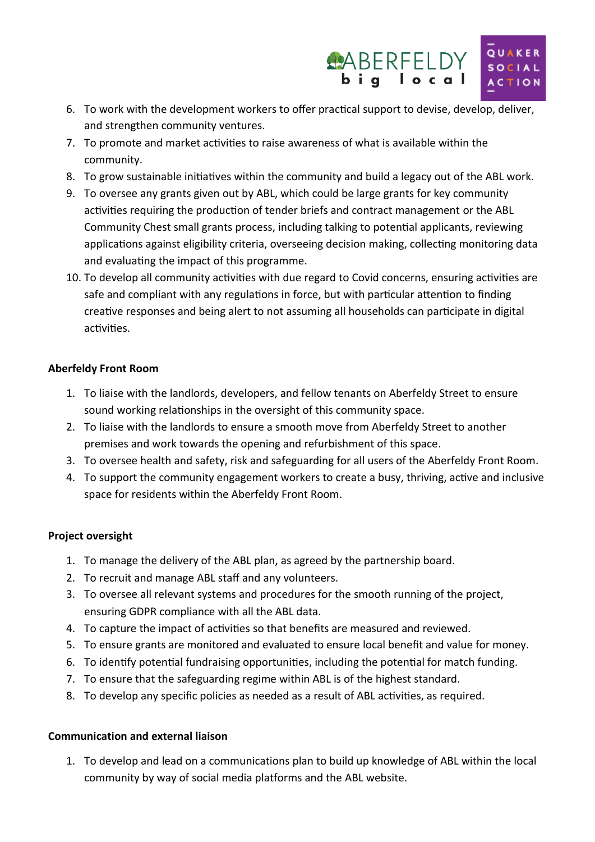

- 6. To work with the development workers to offer practical support to devise, develop, deliver, and strengthen community ventures.
- 7. To promote and market activities to raise awareness of what is available within the community.
- 8. To grow sustainable initiatives within the community and build a legacy out of the ABL work.
- 9. To oversee any grants given out by ABL, which could be large grants for key community activities requiring the production of tender briefs and contract management or the ABL Community Chest small grants process, including talking to potential applicants, reviewing applications against eligibility criteria, overseeing decision making, collecting monitoring data and evaluating the impact of this programme.
- 10. To develop all community activities with due regard to Covid concerns, ensuring activities are safe and compliant with any regulations in force, but with particular attention to finding creative responses and being alert to not assuming all households can participate in digital activities.

#### **Aberfeldy Front Room**

- 1. To liaise with the landlords, developers, and fellow tenants on Aberfeldy Street to ensure sound working relationships in the oversight of this community space.
- 2. To liaise with the landlords to ensure a smooth move from Aberfeldy Street to another premises and work towards the opening and refurbishment of this space.
- 3. To oversee health and safety, risk and safeguarding for all users of the Aberfeldy Front Room.
- 4. To support the community engagement workers to create a busy, thriving, active and inclusive space for residents within the Aberfeldy Front Room.

#### **Project oversight**

- 1. To manage the delivery of the ABL plan, as agreed by the partnership board.
- 2. To recruit and manage ABL staff and any volunteers.
- 3. To oversee all relevant systems and procedures for the smooth running of the project, ensuring GDPR compliance with all the ABL data.
- 4. To capture the impact of activities so that benefits are measured and reviewed.
- 5. To ensure grants are monitored and evaluated to ensure local benefit and value for money.
- 6. To identify potential fundraising opportunities, including the potential for match funding.
- 7. To ensure that the safeguarding regime within ABL is of the highest standard.
- 8. To develop any specific policies as needed as a result of ABL activities, as required.

#### **Communication and external liaison**

1. To develop and lead on a communications plan to build up knowledge of ABL within the local community by way of social media platforms and the ABL website.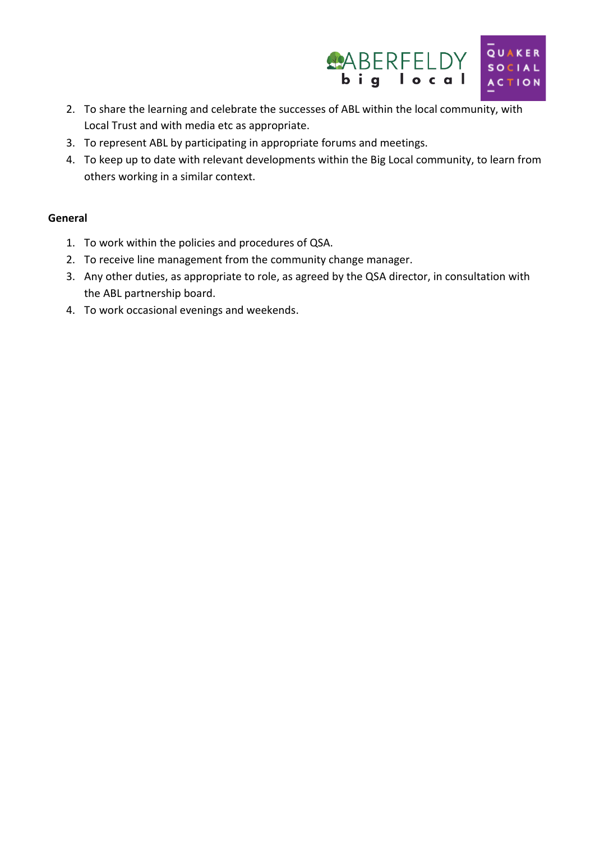

- 2. To share the learning and celebrate the successes of ABL within the local community, with Local Trust and with media etc as appropriate.
- 3. To represent ABL by participating in appropriate forums and meetings.
- 4. To keep up to date with relevant developments within the Big Local community, to learn from others working in a similar context.

#### **General**

- 1. To work within the policies and procedures of QSA.
- 2. To receive line management from the community change manager.
- 3. Any other duties, as appropriate to role, as agreed by the QSA director, in consultation with the ABL partnership board.
- 4. To work occasional evenings and weekends.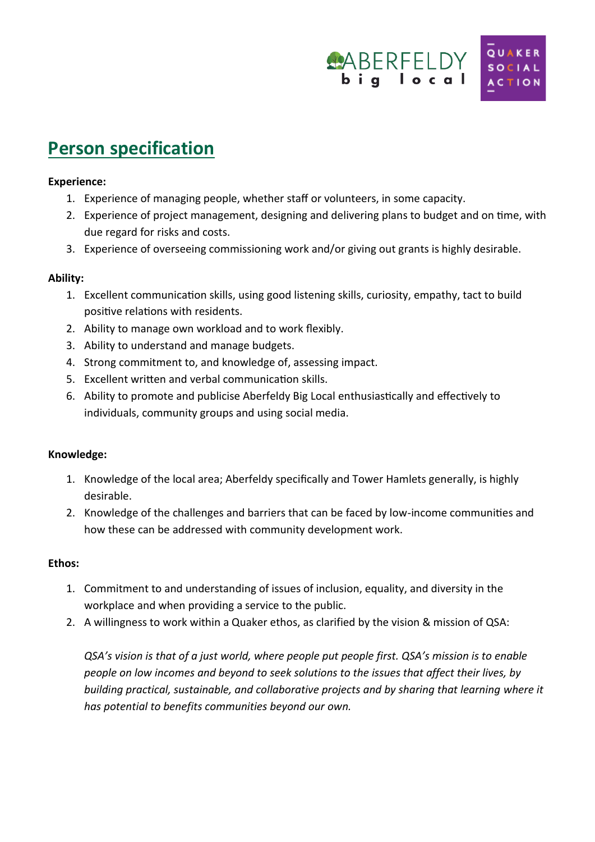

## **Person specification**

#### **Experience:**

- 1. Experience of managing people, whether staff or volunteers, in some capacity.
- 2. Experience of project management, designing and delivering plans to budget and on time, with due regard for risks and costs.
- 3. Experience of overseeing commissioning work and/or giving out grants is highly desirable.

#### **Ability:**

- 1. Excellent communication skills, using good listening skills, curiosity, empathy, tact to build positive relations with residents.
- 2. Ability to manage own workload and to work flexibly.
- 3. Ability to understand and manage budgets.
- 4. Strong commitment to, and knowledge of, assessing impact.
- 5. Excellent written and verbal communication skills.
- 6. Ability to promote and publicise Aberfeldy Big Local enthusiastically and effectively to individuals, community groups and using social media.

#### **Knowledge:**

- 1. Knowledge of the local area; Aberfeldy specifically and Tower Hamlets generally, is highly desirable.
- 2. Knowledge of the challenges and barriers that can be faced by low-income communities and how these can be addressed with community development work.

#### **Ethos:**

- 1. Commitment to and understanding of issues of inclusion, equality, and diversity in the workplace and when providing a service to the public.
- 2. A willingness to work within a Quaker ethos, as clarified by the vision & mission of QSA:

*QSA's vision is that of a just world, where people put people first. QSA's mission is to enable people on low incomes and beyond to seek solutions to the issues that affect their lives, by building practical, sustainable, and collaborative projects and by sharing that learning where it has potential to benefits communities beyond our own.*